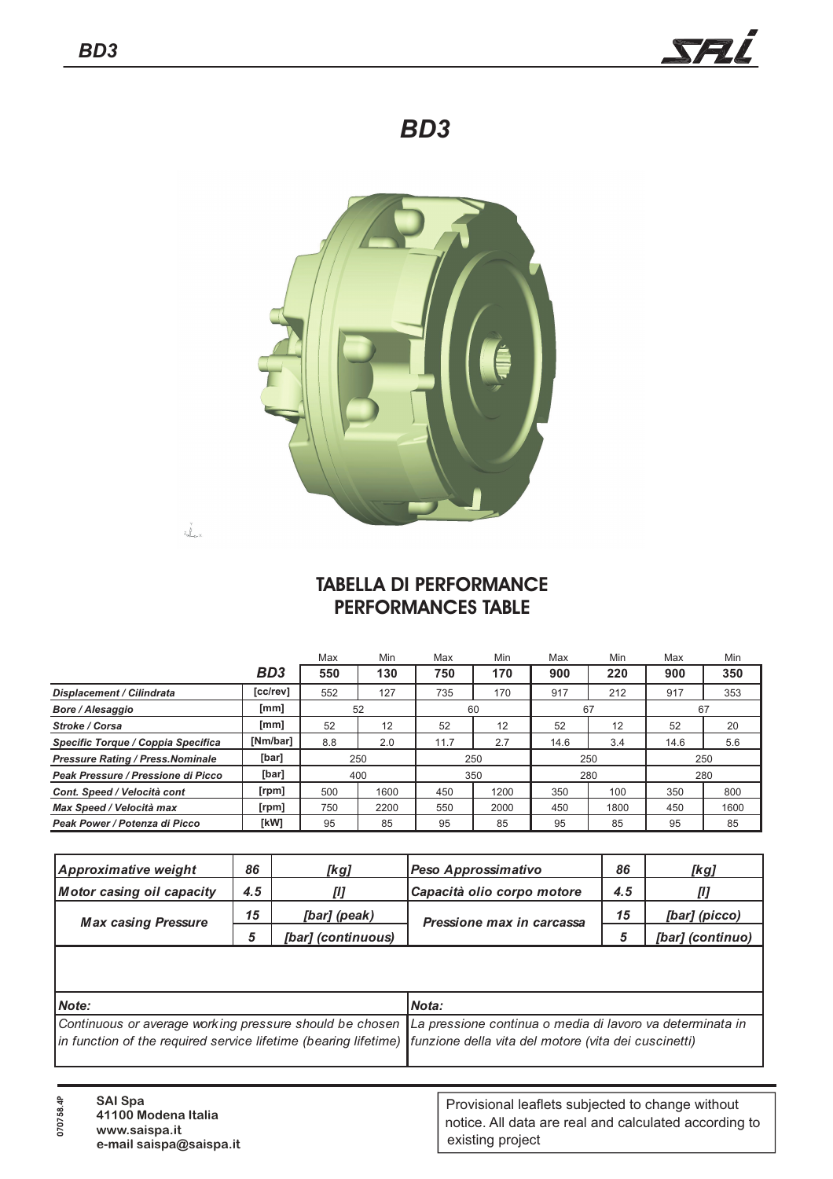$z_{\rm max}^{\rm V}$ 



*BD3*



## **TABELLA DI PERFORMANCE PERFORMANCES TABLE**

|                                          |                 | Max            | Min  | Max  | Min  | Max  | Min  | Max      | <b>Min</b> |  |
|------------------------------------------|-----------------|----------------|------|------|------|------|------|----------|------------|--|
|                                          | BD <sub>3</sub> | 550            | 130  | 750  | 170  | 900  | 220  | 900      | 350        |  |
| Displacement / Cilindrata                | [cc/rev]        | 552            | 127  | 735  | 170  | 917  | 212  | 917      | 353        |  |
| <b>Bore / Alesaggio</b>                  | [mm]            | 52<br>60<br>67 |      |      |      | 67   |      |          |            |  |
| Stroke / Corsa                           | [mm]            | 52             | 12   | 52   | 12   | 52   | 12   | 52       | 20         |  |
| Specific Torque / Coppia Specifica       | [Nm/bar]        | 8.8            | 2.0  | 11.7 | 2.7  | 14.6 | 3.4  | 14.6     | 5.6        |  |
| <b>Pressure Rating / Press. Nominale</b> | [bar]           | 250            |      | 250  |      | 250  |      | 250      |            |  |
| Peak Pressure / Pressione di Picco       | [bar]           | 400            |      | 350  |      | 280  |      | 280      |            |  |
| Cont. Speed / Velocità cont              | [rpm]           | 500            | 1600 | 450  | 1200 | 350  | 100  | 350      | 800        |  |
| Max Speed / Velocità max                 | [ <i>rpm</i> ]  | 750            | 2200 | 550  | 2000 | 450  | 1800 | 450      | 1600       |  |
| Peak Power / Potenza di Picco            | [kW]            | 95             | 85   | 95   | 85   | 95   | 85   | 85<br>95 |            |  |

| <b>Approximative weight</b>      | 86  | [kg]               | Peso Approssimativo        | 86  | [kg]             |
|----------------------------------|-----|--------------------|----------------------------|-----|------------------|
| <b>Motor casing oil capacity</b> | 4.5 | [1]                | Capacità olio corpo motore | 4.5 | Ш                |
| <b>Max casing Pressure</b>       | 15  | [bar] (peak)       | Pressione max in carcassa  | 15  | [bar] (picco)    |
|                                  | 5   | [bar] (continuous) |                            |     | [bar] (continuo) |
|                                  |     |                    |                            |     |                  |
|                                  |     |                    |                            |     |                  |

| Mote:                                                                                                                  | Nota: |
|------------------------------------------------------------------------------------------------------------------------|-------|
| Continuous or average working pressure should be chosen La pressione continua o media di lavoro va determinata in      |       |
| in function of the required service lifetime (bearing lifetime)   funzione della vita del motore (vita dei cuscinetti) |       |
|                                                                                                                        |       |

| <b>SAI Spa</b><br>41100 Modena Italia<br>www.saispa.it<br>e-mail saispa@saispa.it | Provisional leaflets subjected to change without<br>notice. All data are real and calculated according to<br>existing project |
|-----------------------------------------------------------------------------------|-------------------------------------------------------------------------------------------------------------------------------|
|-----------------------------------------------------------------------------------|-------------------------------------------------------------------------------------------------------------------------------|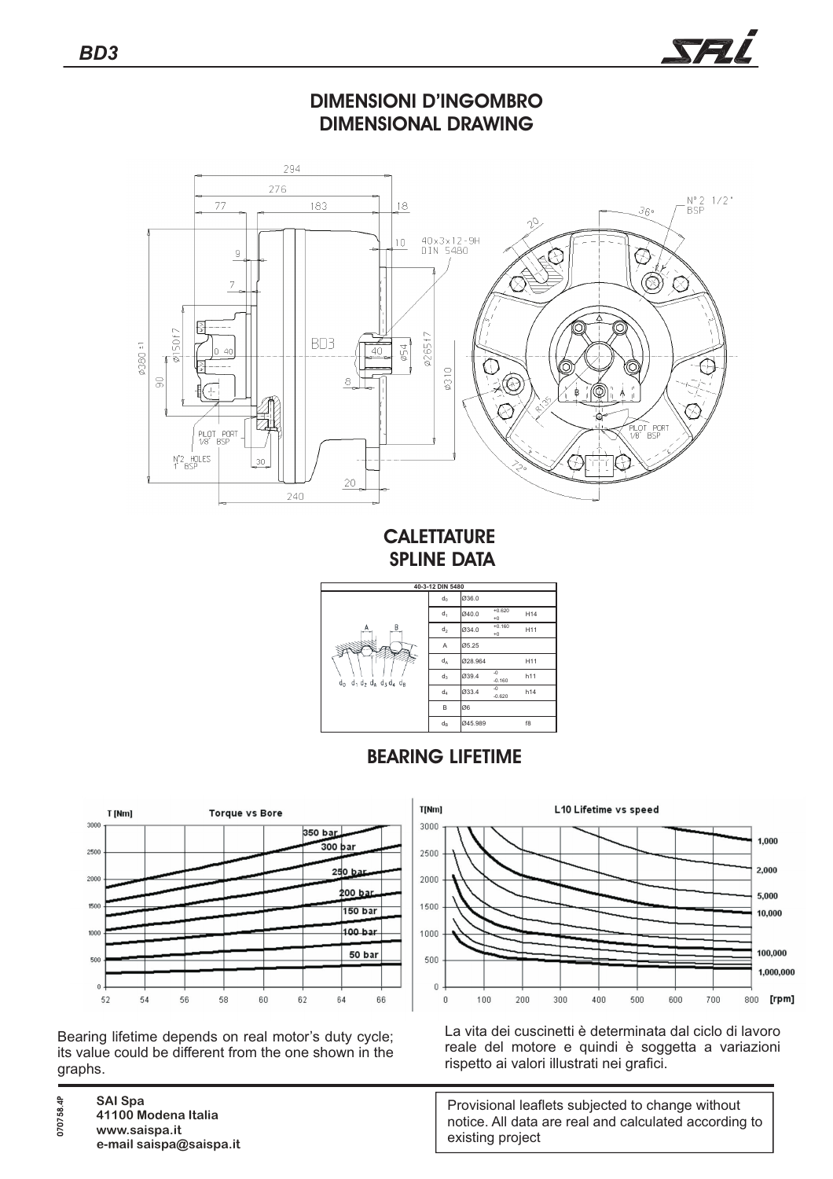





**CALETTATURE SPLINE DATA**



## **BEARING LIFETIME**



Bearing lifetime depends on real motor's duty cycle; its value could be different from the one shown in the graphs.

**SAI Spa**

**070758.4P**

**www.saispa.it**



**41100 Modena Italia e-mail saispa@saispa.it**



La vita dei cuscinetti è determinata dal ciclo di lavoro reale del motore e quindi è soggetta a variazioni rispetto ai valori illustrati nei grafici.

Provisional leaflets subjected to change without notice. All data are real and calculated according to existing project